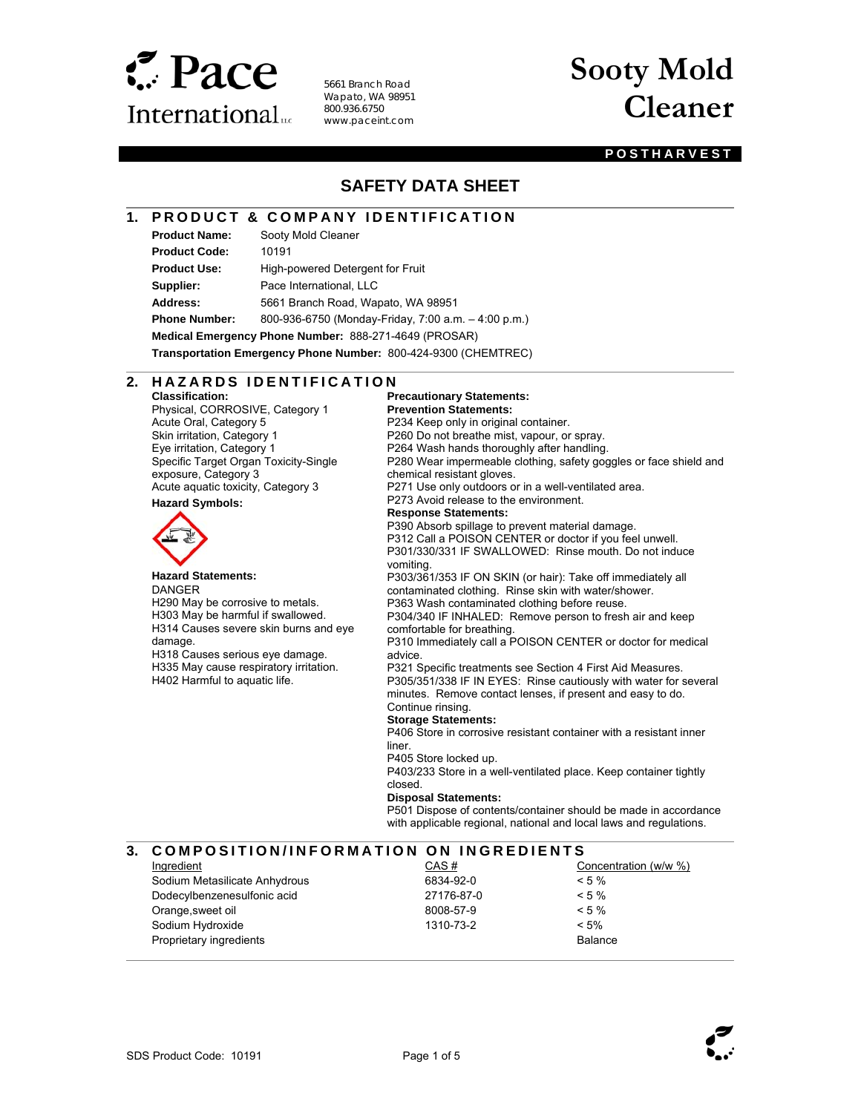

5661 Branch Road Wapato, WA 98951 800.936.6750 www.paceint.com

# **Sooty Mold Cleaner**

#### **POSTHARVEST**

## **SAFETY DATA SHEET**

## **1. PRODUCT & COMPANY IDENTIFICATION**

**Product Name:** Sooty Mold Cleaner **Product Code:** 10191

l

 $\overline{a}$ 

l

l

**Product Use:** High-powered Detergent for Fruit **Supplier:** Pace International, LLC **Address:** 5661 Branch Road, Wapato, WA 98951

**Phone Number:** 800-936-6750 (Monday-Friday, 7:00 a.m. – 4:00 p.m.)

**Medical Emergency Phone Number:** 888-271-4649 (PROSAR)

**Transportation Emergency Phone Number:** 800-424-9300 (CHEMTREC)

#### 2. HAZARDS IDENTIFICATION **Precautionary Statements:**

**Classification:**  Physical, CORROSIVE, Category 1 Acute Oral, Category 5 Skin irritation, Category 1 Eye irritation, Category 1 Specific Target Organ Toxicity-Single exposure, Category 3 Acute aquatic toxicity, Category 3

**Hazard Symbols:** 



#### **Hazard Statements:**

DANGER H290 May be corrosive to metals. H303 May be harmful if swallowed. H314 Causes severe skin burns and eye damage. H318 Causes serious eye damage. H335 May cause respiratory irritation. H402 Harmful to aquatic life.

**Prevention Statements:**  P234 Keep only in original container. P260 Do not breathe mist, vapour, or spray. P264 Wash hands thoroughly after handling. P280 Wear impermeable clothing, safety goggles or face shield and chemical resistant gloves. P271 Use only outdoors or in a well-ventilated area. P273 Avoid release to the environment. **Response Statements:**  P390 Absorb spillage to prevent material damage. P312 Call a POISON CENTER or doctor if you feel unwell. P301/330/331 IF SWALLOWED: Rinse mouth. Do not induce vomiting. P303/361/353 IF ON SKIN (or hair): Take off immediately all contaminated clothing. Rinse skin with water/shower. P363 Wash contaminated clothing before reuse.

P304/340 IF INHALED: Remove person to fresh air and keep comfortable for breathing.

P310 Immediately call a POISON CENTER or doctor for medical advice.

P321 Specific treatments see Section 4 First Aid Measures. P305/351/338 IF IN EYES: Rinse cautiously with water for several minutes. Remove contact lenses, if present and easy to do. Continue rinsing.

#### **Storage Statements:**

P406 Store in corrosive resistant container with a resistant inner liner.

P405 Store locked up.

P403/233 Store in a well-ventilated place. Keep container tightly closed.

#### **Disposal Statements:**

P501 Dispose of contents/container should be made in accordance with applicable regional, national and local laws and regulations.

#### **3. COMPOSITION/INFORMATION ON INGREDIENTS**

Ingredient Sodium Metasilicate Anhydrous Dodecylbenzenesulfonic acid Orange,sweet oil Sodium Hydroxide Proprietary ingredients CAS # 6834-92-0 27176-87-0 8008-57-9 1310-73-2 Concentration (w/w %)  $< 5 \%$  $< 5 \%$  $< 5 %$  $< 5%$ Balance



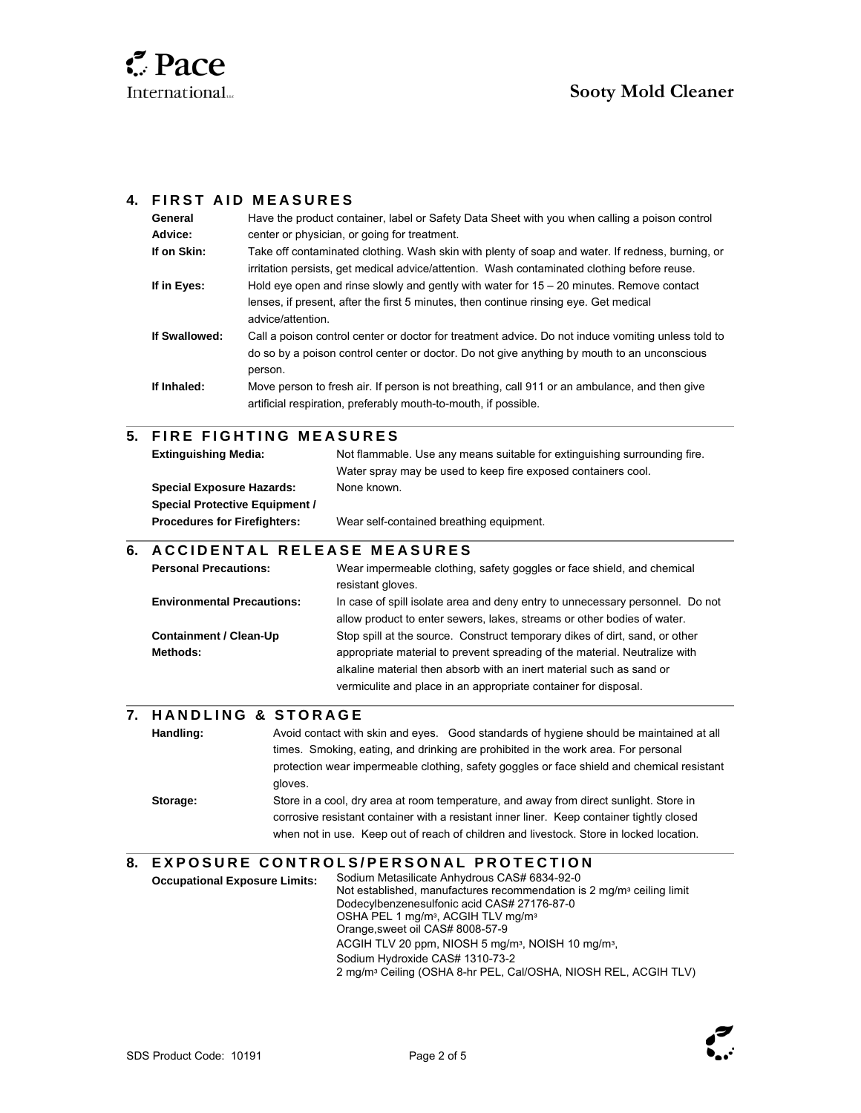

l

l

l

 $\overline{a}$ 

## **4. FIRST AID MEASURES**

| General       | Have the product container, label or Safety Data Sheet with you when calling a poison control                                                                                                                |
|---------------|--------------------------------------------------------------------------------------------------------------------------------------------------------------------------------------------------------------|
| Advice:       | center or physician, or going for treatment.                                                                                                                                                                 |
| If on Skin:   | Take off contaminated clothing. Wash skin with plenty of soap and water. If redness, burning, or<br>irritation persists, get medical advice/attention. Wash contaminated clothing before reuse.              |
| If in Eves:   | Hold eye open and rinse slowly and gently with water for $15 - 20$ minutes. Remove contact<br>lenses, if present, after the first 5 minutes, then continue rinsing eye. Get medical<br>advice/attention.     |
| If Swallowed: | Call a poison control center or doctor for treatment advice. Do not induce vomiting unless told to<br>do so by a poison control center or doctor. Do not give anything by mouth to an unconscious<br>person. |
| If Inhaled:   | Move person to fresh air. If person is not breathing, call 911 or an ambulance, and then give<br>artificial respiration, preferably mouth-to-mouth, if possible.                                             |
|               |                                                                                                                                                                                                              |

## **5. FIRE FIGHTING MEASURES**

| <b>Extinguishing Media:</b>           | Not flammable. Use any means suitable for extinguishing surrounding fire. |  |
|---------------------------------------|---------------------------------------------------------------------------|--|
|                                       | Water spray may be used to keep fire exposed containers cool.             |  |
| <b>Special Exposure Hazards:</b>      | None known.                                                               |  |
| <b>Special Protective Equipment /</b> |                                                                           |  |
| <b>Procedures for Firefighters:</b>   | Wear self-contained breathing equipment.                                  |  |

#### **6. A C C I D E N T A L RELEASE MEASURES**

| <b>Personal Precautions:</b>      | Wear impermeable clothing, safety goggles or face shield, and chemical<br>resistant gloves. |
|-----------------------------------|---------------------------------------------------------------------------------------------|
| <b>Environmental Precautions:</b> | In case of spill isolate area and deny entry to unnecessary personnel. Do not               |
|                                   | allow product to enter sewers, lakes, streams or other bodies of water.                     |
| <b>Containment / Clean-Up</b>     | Stop spill at the source. Construct temporary dikes of dirt, sand, or other                 |
| Methods:                          | appropriate material to prevent spreading of the material. Neutralize with                  |
|                                   | alkaline material then absorb with an inert material such as sand or                        |
|                                   | vermiculite and place in an appropriate container for disposal.                             |

## **7. H A N D L I N G & S T O R A G E**

**Handling:** Avoid contact with skin and eyes. Good standards of hygiene should be maintained at all times. Smoking, eating, and drinking are prohibited in the work area. For personal protection wear impermeable clothing, safety goggles or face shield and chemical resistant gloves. **Storage:** Store in a cool, dry area at room temperature, and away from direct sunlight. Store in corrosive resistant container with a resistant inner liner. Keep container tightly closed

when not in use. Keep out of reach of children and livestock. Store in locked location.

#### **8. EXPOSURE CONTROLS/PERSONAL PROTECTION**

**Occupational Exposure Limits:** Sodium Metasilicate Anhydrous CAS# 6834-92-0 Not established, manufactures recommendation is 2 mg/m<sup>3</sup> ceiling limit Dodecylbenzenesulfonic acid CAS# 27176-87-0 OSHA PEL 1 mg/m<sup>3</sup>, ACGIH TLV mg/m<sup>3</sup> Orange,sweet oil CAS# 8008-57-9 ACGIH TLV 20 ppm, NIOSH 5 mg/m<sup>3</sup>, NOISH 10 mg/m<sup>3</sup>, Sodium Hydroxide CAS# 1310-73-2 2 mg/mᵌ Ceiling (OSHA 8-hr PEL, Cal/OSHA, NIOSH REL, ACGIH TLV)

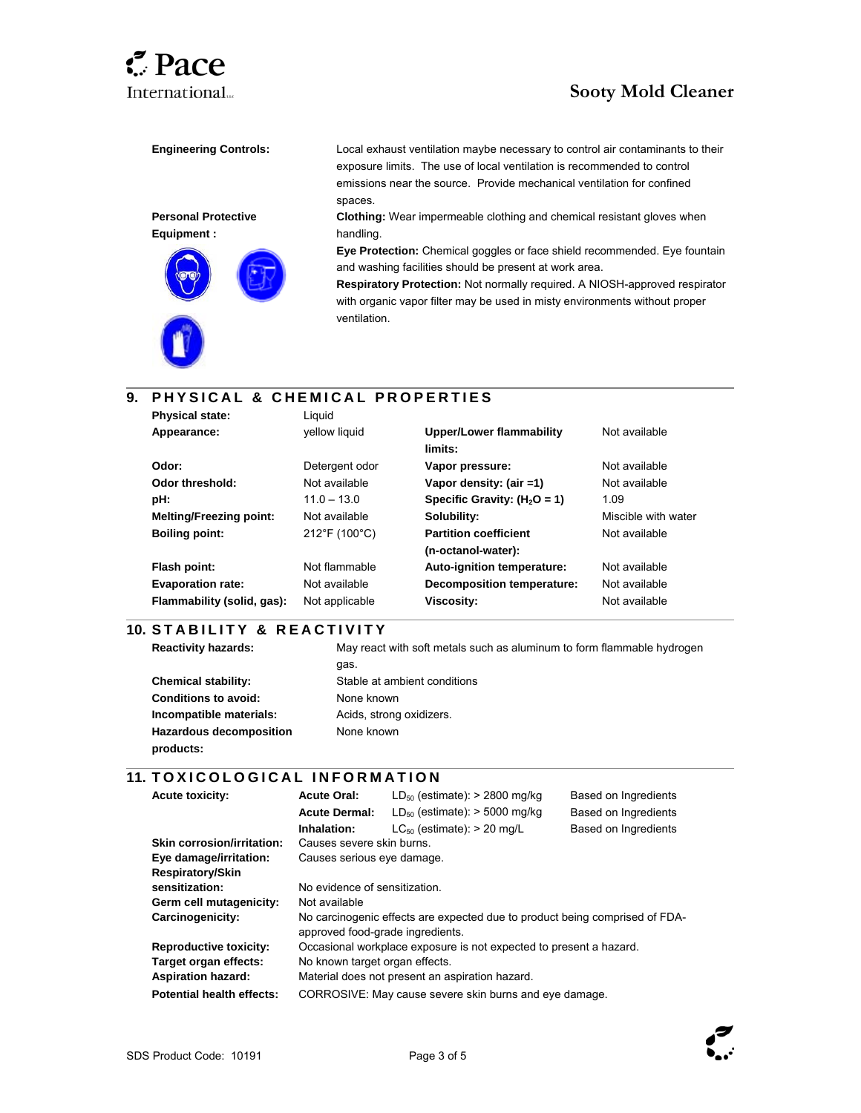# **International**... **Sooty Mold Cleaner**

#### **Personal Protective Equipment :**



**Engineering Controls:** Local exhaust ventilation maybe necessary to control air contaminants to their exposure limits. The use of local ventilation is recommended to control emissions near the source. Provide mechanical ventilation for confined spaces.

> **Clothing:** Wear impermeable clothing and chemical resistant gloves when handling.

**Eye Protection:** Chemical goggles or face shield recommended. Eye fountain and washing facilities should be present at work area.

**Respiratory Protection:** Not normally required. A NIOSH-approved respirator with organic vapor filter may be used in misty environments without proper ventilation.

#### l **9. PHYSICAL & CHEMICAL PROPERTIES**

| <b>Physical state:</b>         | Liauid         |                                            |                     |
|--------------------------------|----------------|--------------------------------------------|---------------------|
| Appearance:                    | vellow liquid  | <b>Upper/Lower flammability</b><br>limits: | Not available       |
| Odor:                          | Detergent odor | Vapor pressure:                            | Not available       |
| Odor threshold:                | Not available  | Vapor density: (air =1)                    | Not available       |
| pH:                            | $11.0 - 13.0$  | Specific Gravity: $(H2O = 1)$              | 1.09                |
| <b>Melting/Freezing point:</b> | Not available  | Solubility:                                | Miscible with water |
| <b>Boiling point:</b>          | 212°F (100°C)  | <b>Partition coefficient</b>               | Not available       |
|                                |                | (n-octanol-water):                         |                     |
| Flash point:                   | Not flammable  | Auto-ignition temperature:                 | Not available       |
| <b>Evaporation rate:</b>       | Not available  | Decomposition temperature:                 | Not available       |
| Flammability (solid, gas):     | Not applicable | <b>Viscosity:</b>                          | Not available       |

## **10. S T A B I L I T Y & R E A C T I V I T Y**

**Reactivity hazards:** May react with soft metals such as aluminum to form flammable hydrogen

 $\overline{\phantom{a}}$ 

l

**Chemical stability:** Stable at ambient conditions **Conditions to avoid:** None known **Incompatible materials:** Acids, strong oxidizers. **Hazardous decomposition products:** 

## **11. TOXICOLOGICAL INFORMATION**

gas.

None known

| <b>Acute toxicity:</b>            | <b>Acute Oral:</b>                                                                                              | $LD_{50}$ (estimate): > 2800 mg/kg   | Based on Ingredients |
|-----------------------------------|-----------------------------------------------------------------------------------------------------------------|--------------------------------------|----------------------|
|                                   | <b>Acute Dermal:</b>                                                                                            | $LD_{50}$ (estimate): $>$ 5000 mg/kg | Based on Ingredients |
|                                   | Inhalation:                                                                                                     | $LC_{50}$ (estimate): > 20 mg/L      | Based on Ingredients |
| <b>Skin corrosion/irritation:</b> | Causes severe skin burns.                                                                                       |                                      |                      |
| Eye damage/irritation:            | Causes serious eye damage.                                                                                      |                                      |                      |
| <b>Respiratory/Skin</b>           |                                                                                                                 |                                      |                      |
| sensitization:                    | No evidence of sensitization.                                                                                   |                                      |                      |
| Germ cell mutagenicity:           | Not available                                                                                                   |                                      |                      |
| Carcinogenicity:                  | No carcinogenic effects are expected due to product being comprised of FDA-<br>approved food-grade ingredients. |                                      |                      |
| <b>Reproductive toxicity:</b>     | Occasional workplace exposure is not expected to present a hazard.                                              |                                      |                      |
| Target organ effects:             | No known target organ effects.                                                                                  |                                      |                      |
| <b>Aspiration hazard:</b>         | Material does not present an aspiration hazard.                                                                 |                                      |                      |
| <b>Potential health effects:</b>  | CORROSIVE: May cause severe skin burns and eye damage.                                                          |                                      |                      |

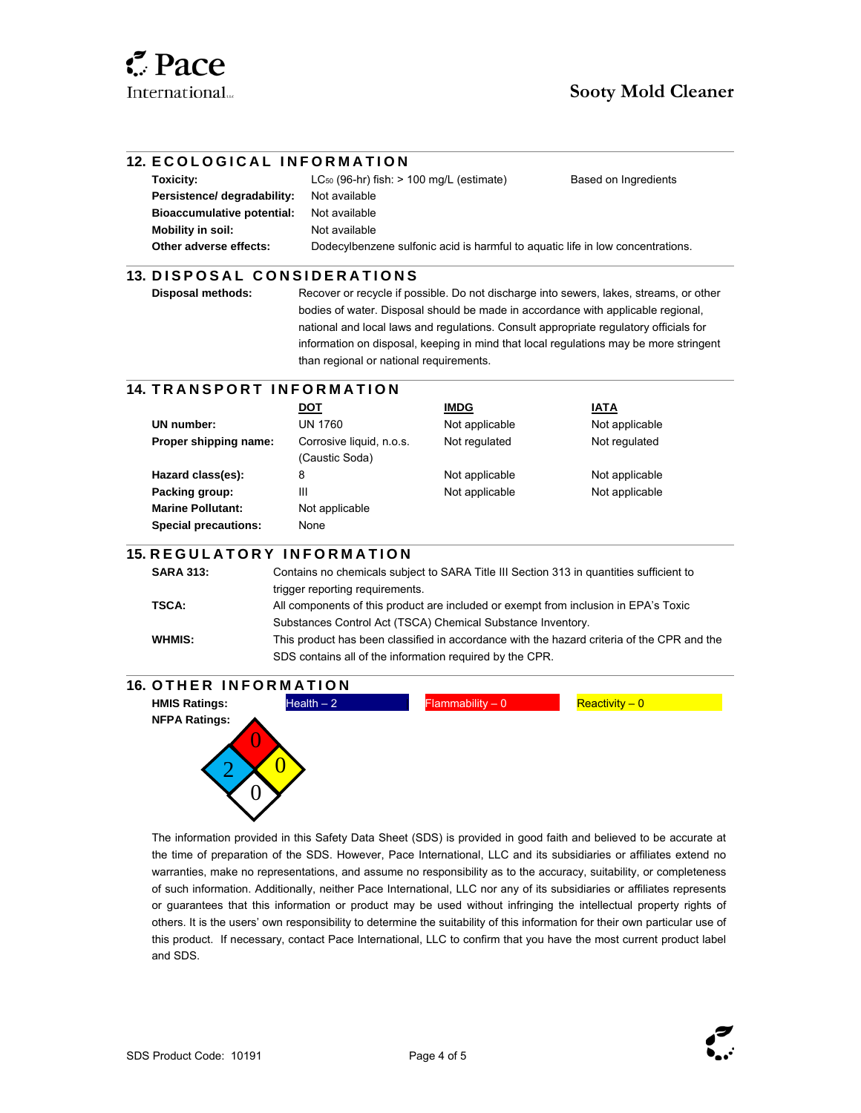l

l

 $\overline{\phantom{a}}$ 

#### **12. ECOLOGICAL INFORMATION**

| Toxicity:                         | $LC_{50}$ (96-hr) fish: $> 100$ mg/L (estimate)                                | Based on Ingredients |
|-----------------------------------|--------------------------------------------------------------------------------|----------------------|
| Persistence/ degradability:       | Not available                                                                  |                      |
| <b>Bioaccumulative potential:</b> | Not available                                                                  |                      |
| Mobility in soil:                 | Not available                                                                  |                      |
| Other adverse effects:            | Dodecylbenzene sulfonic acid is harmful to aquatic life in low concentrations. |                      |

#### $\overline{a}$ **13. D I S P O S A L C O N S I D E R A T I O N S**

**Disposal methods:** Recover or recycle if possible. Do not discharge into sewers, lakes, streams, or other bodies of water. Disposal should be made in accordance with applicable regional, national and local laws and regulations. Consult appropriate regulatory officials for information on disposal, keeping in mind that local regulations may be more stringent than regional or national requirements.

## **14. TRANSPORT INFORMATION**

|                             | DOT                                        | <b>IMDG</b>    | IATA           |
|-----------------------------|--------------------------------------------|----------------|----------------|
| UN number:                  | UN 1760                                    | Not applicable | Not applicable |
| Proper shipping name:       | Corrosive liquid, n.o.s.<br>(Caustic Soda) | Not regulated  | Not regulated  |
| Hazard class(es):           | 8                                          | Not applicable | Not applicable |
| Packing group:              | Ш                                          | Not applicable | Not applicable |
| <b>Marine Pollutant:</b>    | Not applicable                             |                |                |
| <b>Special precautions:</b> | None                                       |                |                |

## **15. R E G U L A T O R Y I N F O R M A T I O N**

| <b>SARA 313:</b> | Contains no chemicals subject to SARA Title III Section 313 in quantities sufficient to    |
|------------------|--------------------------------------------------------------------------------------------|
|                  | trigger reporting requirements.                                                            |
| TSCA:            | All components of this product are included or exempt from inclusion in EPA's Toxic        |
|                  | Substances Control Act (TSCA) Chemical Substance Inventory.                                |
| <b>WHMIS:</b>    | This product has been classified in accordance with the hazard criteria of the CPR and the |
|                  | SDS contains all of the information required by the CPR.                                   |
|                  |                                                                                            |



The information provided in this Safety Data Sheet (SDS) is provided in good faith and believed to be accurate at the time of preparation of the SDS. However, Pace International, LLC and its subsidiaries or affiliates extend no warranties, make no representations, and assume no responsibility as to the accuracy, suitability, or completeness of such information. Additionally, neither Pace International, LLC nor any of its subsidiaries or affiliates represents or guarantees that this information or product may be used without infringing the intellectual property rights of others. It is the users' own responsibility to determine the suitability of this information for their own particular use of this product. If necessary, contact Pace International, LLC to confirm that you have the most current product label and SDS.